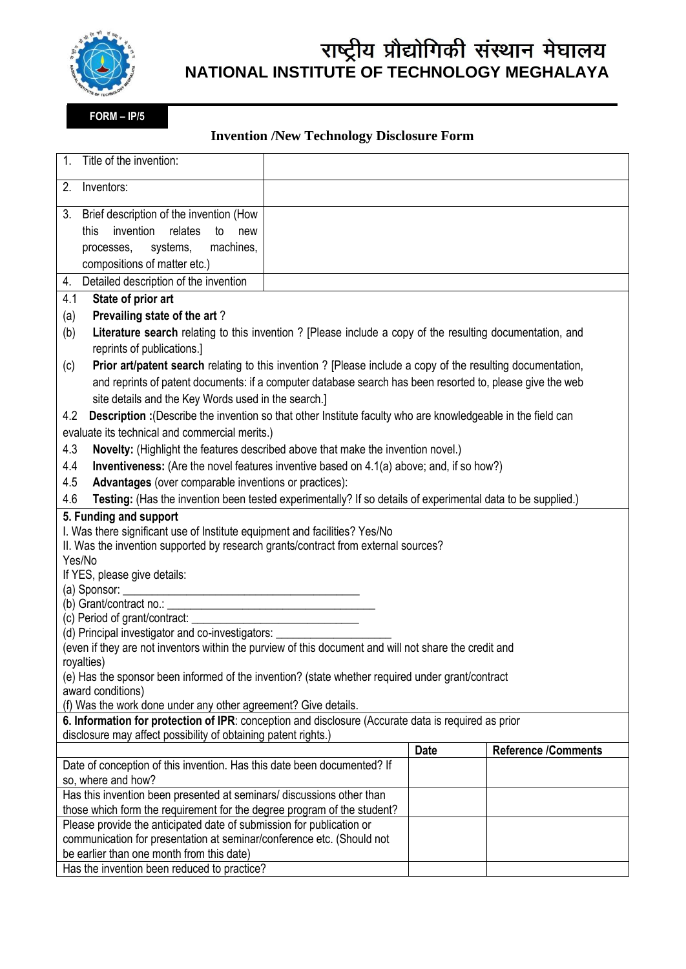

## राष्ट्रीय प्रौद्योगिकी संस्थान मेघालय **NATIONAL INSTITUTE OF TECHNOLOGY MEGHALAYA**

**FORM – IP/5**

## **Invention /New Technology Disclosure Form**

| Title of the invention:<br>$\mathbf{1}$ .                                                                                                                             |  |             |                            |  |
|-----------------------------------------------------------------------------------------------------------------------------------------------------------------------|--|-------------|----------------------------|--|
| 2.<br>Inventors:                                                                                                                                                      |  |             |                            |  |
| 3. Brief description of the invention (How                                                                                                                            |  |             |                            |  |
| invention<br>relates<br>to<br>this<br>new                                                                                                                             |  |             |                            |  |
| machines,<br>systems,<br>processes,                                                                                                                                   |  |             |                            |  |
| compositions of matter etc.)                                                                                                                                          |  |             |                            |  |
| Detailed description of the invention<br>4.                                                                                                                           |  |             |                            |  |
| State of prior art<br>4.1                                                                                                                                             |  |             |                            |  |
| Prevailing state of the art?<br>(a)                                                                                                                                   |  |             |                            |  |
| Literature search relating to this invention ? [Please include a copy of the resulting documentation, and<br>(b)                                                      |  |             |                            |  |
| reprints of publications.]                                                                                                                                            |  |             |                            |  |
| <b>Prior art/patent search</b> relating to this invention? [Please include a copy of the resulting documentation,<br>(c)                                              |  |             |                            |  |
| and reprints of patent documents: if a computer database search has been resorted to, please give the web                                                             |  |             |                            |  |
| site details and the Key Words used in the search.]                                                                                                                   |  |             |                            |  |
| Description : (Describe the invention so that other Institute faculty who are knowledgeable in the field can<br>4.2                                                   |  |             |                            |  |
| evaluate its technical and commercial merits.)                                                                                                                        |  |             |                            |  |
| Novelty: (Highlight the features described above that make the invention novel.)<br>4.3                                                                               |  |             |                            |  |
| Inventiveness: (Are the novel features inventive based on 4.1(a) above; and, if so how?)<br>4.4                                                                       |  |             |                            |  |
| 4.5<br>Advantages (over comparable inventions or practices):                                                                                                          |  |             |                            |  |
| Testing: (Has the invention been tested experimentally? If so details of experimental data to be supplied.)<br>4.6                                                    |  |             |                            |  |
| 5. Funding and support                                                                                                                                                |  |             |                            |  |
| I. Was there significant use of Institute equipment and facilities? Yes/No                                                                                            |  |             |                            |  |
| II. Was the invention supported by research grants/contract from external sources?                                                                                    |  |             |                            |  |
| Yes/No                                                                                                                                                                |  |             |                            |  |
| If YES, please give details:                                                                                                                                          |  |             |                            |  |
|                                                                                                                                                                       |  |             |                            |  |
| (c) Period of grant/contract:<br><u> Terminal de la propincia de la propincia de la propincia de la propincia de la propincia de la propincia de l</u>                |  |             |                            |  |
| (d) Principal investigator and co-investigators: ______                                                                                                               |  |             |                            |  |
| (even if they are not inventors within the purview of this document and will not share the credit and                                                                 |  |             |                            |  |
| royalties)                                                                                                                                                            |  |             |                            |  |
| (e) Has the sponsor been informed of the invention? (state whether required under grant/contract                                                                      |  |             |                            |  |
| award conditions)                                                                                                                                                     |  |             |                            |  |
| (f) Was the work done under any other agreement? Give details.                                                                                                        |  |             |                            |  |
| 6. Information for protection of IPR: conception and disclosure (Accurate data is required as prior<br>disclosure may affect possibility of obtaining patent rights.) |  |             |                            |  |
|                                                                                                                                                                       |  | <b>Date</b> | <b>Reference /Comments</b> |  |
| Date of conception of this invention. Has this date been documented? If                                                                                               |  |             |                            |  |
| so, where and how?                                                                                                                                                    |  |             |                            |  |
| Has this invention been presented at seminars/ discussions other than                                                                                                 |  |             |                            |  |
| those which form the requirement for the degree program of the student?                                                                                               |  |             |                            |  |
| Please provide the anticipated date of submission for publication or                                                                                                  |  |             |                            |  |
| communication for presentation at seminar/conference etc. (Should not                                                                                                 |  |             |                            |  |
| be earlier than one month from this date)                                                                                                                             |  |             |                            |  |
| Has the invention been reduced to practice?                                                                                                                           |  |             |                            |  |